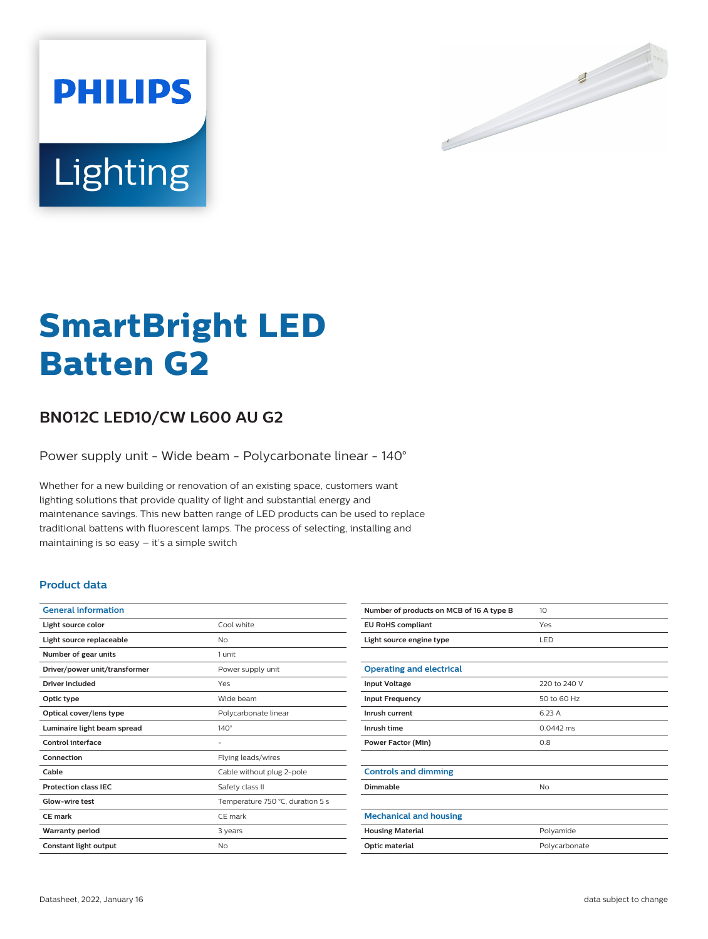

# Lighting

**PHILIPS** 

# **SmartBright LED Batten G2**

## **BN012C LED10/CW L600 AU G2**

Power supply unit - Wide beam - Polycarbonate linear - 140°

Whether for a new building or renovation of an existing space, customers want lighting solutions that provide quality of light and substantial energy and maintenance savings. This new batten range of LED products can be used to replace traditional battens with fluorescent lamps. The process of selecting, installing and maintaining is so easy – it's a simple switch

#### **Product data**

| <b>General information</b>    |                                  |  |
|-------------------------------|----------------------------------|--|
| Light source color            | Cool white                       |  |
| Light source replaceable      | No                               |  |
| Number of gear units          | 1 unit                           |  |
| Driver/power unit/transformer | Power supply unit                |  |
| Driver included               | Yes                              |  |
| Optic type                    | Wide beam                        |  |
| Optical cover/lens type       | Polycarbonate linear             |  |
| Luminaire light beam spread   | $140^\circ$                      |  |
| Control interface             |                                  |  |
| Connection                    | Flying leads/wires               |  |
| Cable                         | Cable without plug 2-pole        |  |
| <b>Protection class IEC</b>   | Safety class II                  |  |
| Glow-wire test                | Temperature 750 °C, duration 5 s |  |
| <b>CE</b> mark                | CE mark                          |  |
| <b>Warranty period</b>        | 3 years                          |  |
| Constant light output         | No                               |  |

| Number of products on MCB of 16 A type B | 10            |
|------------------------------------------|---------------|
| <b>EU RoHS compliant</b>                 | Yes           |
| Light source engine type                 | <b>LED</b>    |
|                                          |               |
| <b>Operating and electrical</b>          |               |
| <b>Input Voltage</b>                     | 220 to 240 V  |
| <b>Input Frequency</b>                   | 50 to 60 Hz   |
| Inrush current                           | 6.23 A        |
| Inrush time                              | $0.0442$ ms   |
| <b>Power Factor (Min)</b>                | 0.8           |
|                                          |               |
| <b>Controls and dimming</b>              |               |
| Dimmable                                 | <b>No</b>     |
|                                          |               |
| <b>Mechanical and housing</b>            |               |
| <b>Housing Material</b>                  | Polyamide     |
| <b>Optic material</b>                    | Polycarbonate |
|                                          |               |